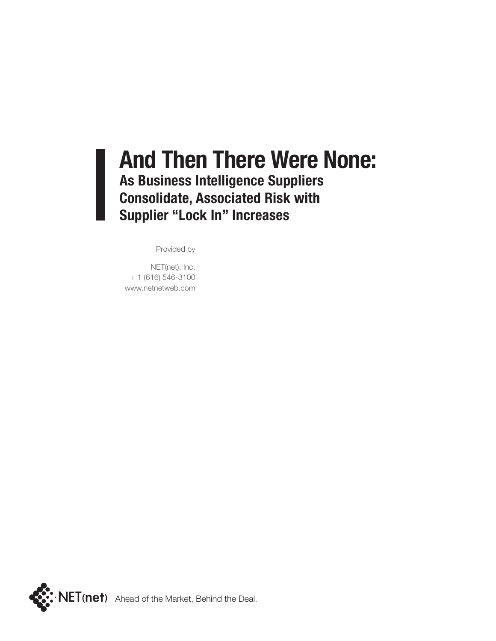### **And Then There Were None: As Business Intelligence Suppliers Consolidate, Associated Risk with Supplier "Lock In" Increases**

Provided by

NET(net), Inc. + 1 (616) 546-3100 www.netnetweb.com

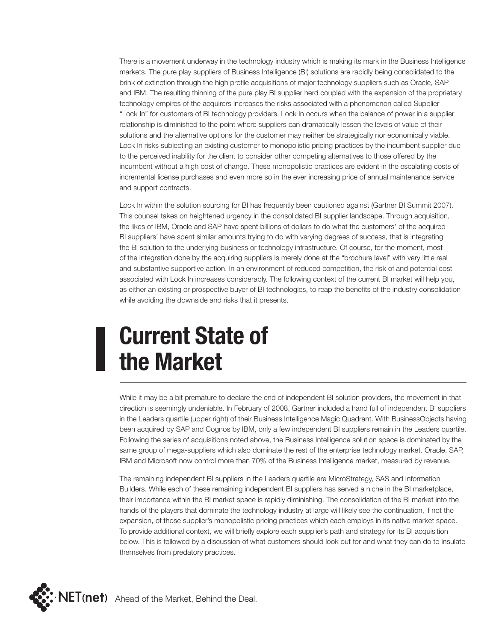There is a movement underway in the technology industry which is making its mark in the Business Intelligence markets. The pure play suppliers of Business Intelligence (BI) solutions are rapidly being consolidated to the brink of extinction through the high profile acquisitions of major technology suppliers such as Oracle, SAP and IBM. The resulting thinning of the pure play BI supplier herd coupled with the expansion of the proprietary technology empires of the acquirers increases the risks associated with a phenomenon called Supplier "Lock In" for customers of BI technology providers. Lock In occurs when the balance of power in a supplier relationship is diminished to the point where suppliers can dramatically lessen the levels of value of their solutions and the alternative options for the customer may neither be strategically nor economically viable. Lock In risks subjecting an existing customer to monopolistic pricing practices by the incumbent supplier due to the perceived inability for the client to consider other competing alternatives to those offered by the incumbent without a high cost of change. These monopolistic practices are evident in the escalating costs of incremental license purchases and even more so in the ever increasing price of annual maintenance service and support contracts.

Lock In within the solution sourcing for BI has frequently been cautioned against (Gartner BI Summit 2007). This counsel takes on heightened urgency in the consolidated BI supplier landscape. Through acquisition, the likes of IBM, Oracle and SAP have spent billions of dollars to do what the customers' of the acquired BI suppliers' have spent similar amounts trying to do with varying degrees of success, that is integrating the BI solution to the underlying business or technology infrastructure. Of course, for the moment, most of the integration done by the acquiring suppliers is merely done at the "brochure level" with very little real and substantive supportive action. In an environment of reduced competition, the risk of and potential cost associated with Lock In increases considerably. The following context of the current BI market will help you, as either an existing or prospective buyer of BI technologies, to reap the benefits of the industry consolidation while avoiding the downside and risks that it presents.

# **Current State of the Market**

While it may be a bit premature to declare the end of independent BI solution providers, the movement in that direction is seemingly undeniable. In February of 2008, Gartner included a hand full of independent BI suppliers in the Leaders quartile (upper right) of their Business Intelligence Magic Quadrant. With BusinessObjects having been acquired by SAP and Cognos by IBM, only a few independent BI suppliers remain in the Leaders quartile. Following the series of acquisitions noted above, the Business Intelligence solution space is dominated by the same group of mega-suppliers which also dominate the rest of the enterprise technology market. Oracle, SAP, IBM and Microsoft now control more than 70% of the Business Intelligence market, measured by revenue.

The remaining independent BI suppliers in the Leaders quartile are MicroStrategy, SAS and Information Builders. While each of these remaining independent BI suppliers has served a niche in the BI marketplace, their importance within the BI market space is rapidly diminishing. The consolidation of the BI market into the hands of the players that dominate the technology industry at large will likely see the continuation, if not the expansion, of those supplier's monopolistic pricing practices which each employs in its native market space. To provide additional context, we will briefly explore each supplier's path and strategy for its BI acquisition below. This is followed by a discussion of what customers should look out for and what they can do to insulate themselves from predatory practices.

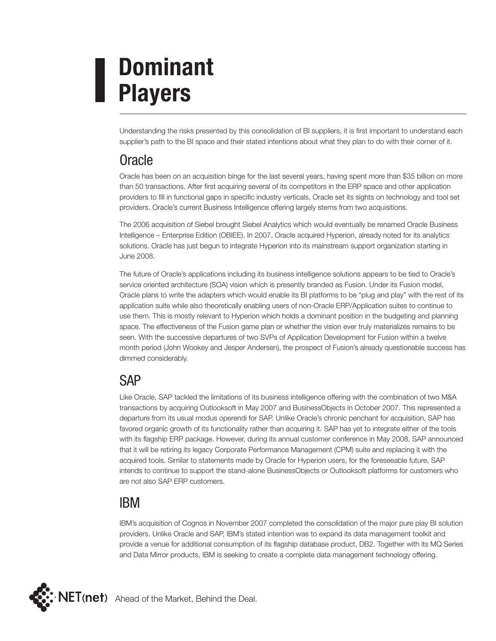# **Dominant Players**

Understanding the risks presented by this consolidation of BI suppliers, it is first important to understand each supplier's path to the BI space and their stated intentions about what they plan to do with their corner of it.

### Oracle

Oracle has been on an acquisition binge for the last several years, having spent more than \$35 billion on more than 50 transactions. After first acquiring several of its competitors in the ERP space and other application providers to fill in functional gaps in specific industry verticals, Oracle set its sights on technology and tool set providers. Oracle's current Business Intelligence offering largely stems from two acquisitions.

The 2006 acquisition of Siebel brought Siebel Analytics which would eventually be renamed Oracle Business Intelligence – Enterprise Edition (OBIEE). In 2007, Oracle acquired Hyperion, already noted for its analytics solutions. Oracle has just begun to integrate Hyperion into its mainstream support organization starting in June 2008.

The future of Oracle's applications including its business intelligence solutions appears to be tied to Oracle's service oriented architecture (SOA) vision which is presently branded as Fusion. Under its Fusion model, Oracle plans to write the adapters which would enable its BI platforms to be "plug and play" with the rest of its application suite while also theoretically enabling users of non-Oracle ERP/Application suites to continue to use them. This is mostly relevant to Hyperion which holds a dominant position in the budgeting and planning space. The effectiveness of the Fusion game plan or whether the vision ever truly materializes remains to be seen. With the successive departures of two SVPs of Application Development for Fusion within a twelve month period (John Wookey and Jesper Andersen), the prospect of Fusion's already questionable success has dimmed considerably.

### **SAP**

Like Oracle, SAP tackled the limitations of its business intelligence offering with the combination of two M&A transactions by acquiring Outlooksoft in May 2007 and BusinessObjects in October 2007. This represented a departure from its usual modus operendi for SAP. Unlike Oracle's chronic penchant for acquisition, SAP has favored organic growth of its functionality rather than acquiring it. SAP has yet to integrate either of the tools with its flagship ERP package. However, during its annual customer conference in May 2008, SAP announced that it will be retiring its legacy Corporate Performance Management (CPM) suite and replacing it with the acquired tools. Similar to statements made by Oracle for Hyperion users, for the foreseeable future, SAP intends to continue to support the stand-alone BusinessObjects or Outlooksoft platforms for customers who are not also SAP ERP customers.

### IBM

IBM's acquisition of Cognos in November 2007 completed the consolidation of the major pure play BI solution providers. Unlike Oracle and SAP, IBM's stated intention was to expand its data management toolkit and provide a venue for additional consumption of its flagship database product, DB2. Together with its MQ Series and Data Mirror products, IBM is seeking to create a complete data management technology offering.

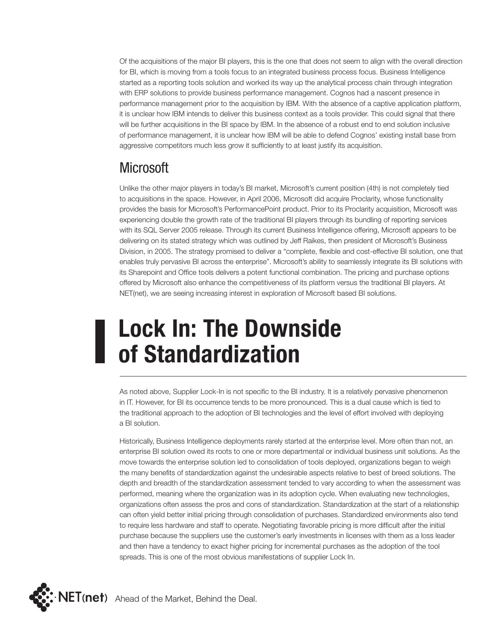Of the acquisitions of the major BI players, this is the one that does not seem to align with the overall direction for BI, which is moving from a tools focus to an integrated business process focus. Business Intelligence started as a reporting tools solution and worked its way up the analytical process chain through integration with ERP solutions to provide business performance management. Cognos had a nascent presence in performance management prior to the acquisition by IBM. With the absence of a captive application platform, it is unclear how IBM intends to deliver this business context as a tools provider. This could signal that there will be further acquisitions in the BI space by IBM. In the absence of a robust end to end solution inclusive of performance management, it is unclear how IBM will be able to defend Cognos' existing install base from aggressive competitors much less grow it sufficiently to at least justify its acquisition.

#### **Microsoft**

Unlike the other major players in today's BI market, Microsoft's current position (4th) is not completely tied to acquisitions in the space. However, in April 2006, Microsoft did acquire Proclarity, whose functionality provides the basis for Microsoft's PerformancePoint product. Prior to its Proclarity acquisition, Microsoft was experiencing double the growth rate of the traditional BI players through its bundling of reporting services with its SQL Server 2005 release. Through its current Business Intelligence offering, Microsoft appears to be delivering on its stated strategy which was outlined by Jeff Raikes, then president of Microsoft's Business Division, in 2005. The strategy promised to deliver a "complete, flexible and cost-effective BI solution, one that enables truly pervasive BI across the enterprise". Microsoft's ability to seamlessly integrate its BI solutions with its Sharepoint and Office tools delivers a potent functional combination. The pricing and purchase options offered by Microsoft also enhance the competitiveness of its platform versus the traditional BI players. At NET(net), we are seeing increasing interest in exploration of Microsoft based BI solutions.

# **Lock In: The Downside of Standardization**

As noted above, Supplier Lock-In is not specific to the BI industry. It is a relatively pervasive phenomenon in IT. However, for BI its occurrence tends to be more pronounced. This is a dual cause which is tied to the traditional approach to the adoption of BI technologies and the level of effort involved with deploying a BI solution.

Historically, Business Intelligence deployments rarely started at the enterprise level. More often than not, an enterprise BI solution owed its roots to one or more departmental or individual business unit solutions. As the move towards the enterprise solution led to consolidation of tools deployed, organizations began to weigh the many benefits of standardization against the undesirable aspects relative to best of breed solutions. The depth and breadth of the standardization assessment tended to vary according to when the assessment was performed, meaning where the organization was in its adoption cycle. When evaluating new technologies, organizations often assess the pros and cons of standardization. Standardization at the start of a relationship can often yield better initial pricing through consolidation of purchases. Standardized environments also tend to require less hardware and staff to operate. Negotiating favorable pricing is more difficult after the initial purchase because the suppliers use the customer's early investments in licenses with them as a loss leader and then have a tendency to exact higher pricing for incremental purchases as the adoption of the tool spreads. This is one of the most obvious manifestations of supplier Lock In.

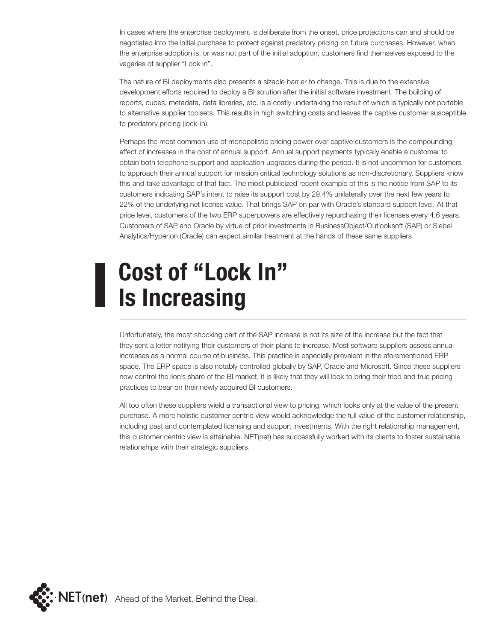In cases where the enterprise deployment is deliberate from the onset, price protections can and should be negotiated into the initial purchase to protect against predatory pricing on future purchases. However, when the enterprise adoption is, or was not part of the initial adoption, customers find themselves exposed to the vagaries of supplier "Lock In".

The nature of BI deployments also presents a sizable barrier to change. This is due to the extensive development efforts required to deploy a BI solution after the initial software investment. The building of reports, cubes, metadata, data libraries, etc. is a costly undertaking the result of which is typically not portable to alternative supplier toolsets. This results in high switching costs and leaves the captive customer susceptible to predatory pricing (lock-in).

Perhaps the most common use of monopolistic pricing power over captive customers is the compounding effect of increases in the cost of annual support. Annual support payments typically enable a customer to obtain both telephone support and application upgrades during the period. It is not uncommon for customers to approach their annual support for mission critical technology solutions as non-discretionary. Suppliers know this and take advantage of that fact. The most publicized recent example of this is the notice from SAP to its customers indicating SAP's intent to raise its support cost by 29.4% unilaterally over the next few years to 22% of the underlying net license value. That brings SAP on par with Oracle's standard support level. At that price level, customers of the two ERP superpowers are effectively repurchasing their licenses every 4.6 years. Customers of SAP and Oracle by virtue of prior investments in BusinessObject/Outlooksoft (SAP) or Siebel Analytics/Hyperion (Oracle) can expect similar treatment at the hands of these same suppliers.

### **Cost of "Lock In" Is Increasing**

Unfortunately, the most shocking part of the SAP increase is not its size of the increase but the fact that they sent a letter notifying their customers of their plans to increase. Most software suppliers assess annual increases as a normal course of business. This practice is especially prevalent in the aforementioned ERP space. The ERP space is also notably controlled globally by SAP, Oracle and Microsoft. Since these suppliers now control the lion's share of the BI market, it is likely that they will look to bring their tried and true pricing practices to bear on their newly acquired BI customers.

All too often these suppliers wield a transactional view to pricing, which looks only at the value of the present purchase. A more holistic customer centric view would acknowledge the full value of the customer relationship, including past and contemplated licensing and support investments. With the right relationship management, this customer centric view is attainable. NET(net) has successfully worked with its clients to foster sustainable relationships with their strategic suppliers.